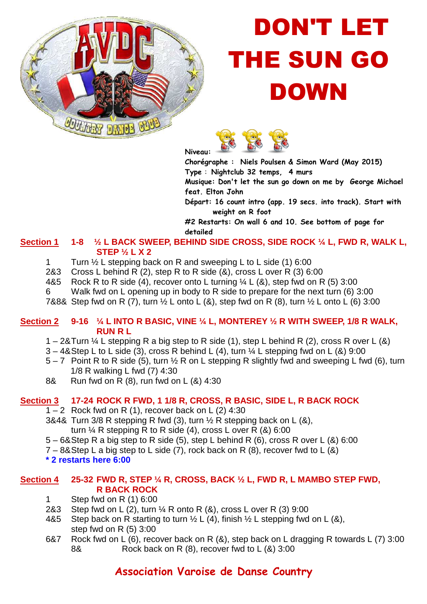

# DON'T LET THE SUN GO DOWN



**Chorégraphe : Niels Poulsen & Simon Ward (May 2015) Type** : **Nightclub 32 temps, 4 murs** 

**Musique: Don't let the sun go down on me by George Michael feat. Elton John** 

**Départ: 16 count intro (app. 19 secs. into track). Start with weight on R foot** 

**#2 Restarts: On wall 6 and 10. See bottom of page for detailed** 

#### Section 1 1-8  $\frac{1}{2}$  L BACK SWEEP, BEHIND SIDE CROSS, SIDE ROCK  $\frac{1}{4}$  L, FWD R, WALK L,  **STEP ½ L X 2**

- 1 Turn ½ L stepping back on R and sweeping L to L side (1) 6:00
- 2&3 Cross L behind R (2), step R to R side (&), cross L over R (3) 6:00
- 4&5 Rock R to R side (4), recover onto L turning  $\frac{1}{4}$  L (&), step fwd on R (5) 3:00
- 6 Walk fwd on L opening up in body to R side to prepare for the next turn (6) 3:00

7&8& Step fwd on R (7), turn  $\frac{1}{2}$  L onto L (&), step fwd on R (8), turn  $\frac{1}{2}$  L onto L (6) 3:00

#### **Section 2 9-16 ¼ L INTO R BASIC, VINE ¼ L, MONTEREY ½ R WITH SWEEP, 1/8 R WALK, RUN R L**

- 1 2& Turn  $\frac{1}{4}$  L stepping R a big step to R side (1), step L behind R (2), cross R over L (&)
- $3 48$  Step L to L side (3), cross R behind L (4), turn  $\frac{1}{4}$  L stepping fwd on L (&) 9:00
- $5 7$  Point R to R side (5), turn  $\frac{1}{2}$  R on L stepping R slightly fwd and sweeping L fwd (6), turn 1/8 R walking L fwd (7) 4:30
- 8& Run fwd on R (8), run fwd on L (&) 4:30

#### **Section 3 17-24 ROCK R FWD, 1 1/8 R, CROSS, R BASIC, SIDE L, R BACK ROCK**

- $1 2$  Rock fwd on R (1), recover back on L (2) 4:30
- 3&4& Turn 3/8 R stepping R fwd (3), turn  $\frac{1}{2}$  R stepping back on L (&), turn  $\frac{1}{4}$  R stepping R to R side (4), cross L over R (&) 6:00
- 5 6& Step R a big step to R side (5), step L behind R (6), cross R over L (&) 6:00
- $7 88$  Step L a big step to L side (7), rock back on R (8), recover fwd to L (&)

#### **\* 2 restarts here 6:00**

### **Section 4 25-32 FWD R, STEP ¼ R, CROSS, BACK ½ L, FWD R, L MAMBO STEP FWD, R BACK ROCK**

- 1 Step fwd on R (1) 6:00
- 2&3 Step fwd on L (2), turn ¼ R onto R (&), cross L over R (3) 9:00
- 4&5 Step back on R starting to turn  $\frac{1}{2}$  L (4), finish  $\frac{1}{2}$  L stepping fwd on L (&), step fwd on R (5) 3:00
- 6&7 Rock fwd on L (6), recover back on R (&), step back on L dragging R towards L (7) 3:00 8& Rock back on R (8), recover fwd to L (&) 3:00

## **Association Varoise de Danse Country**